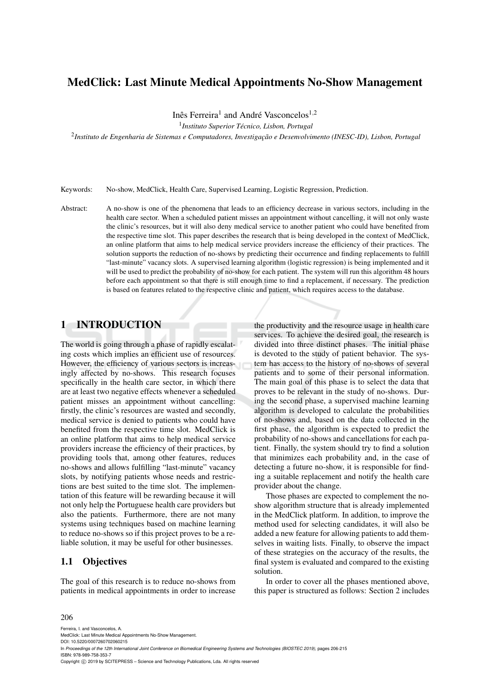# MedClick: Last Minute Medical Appointments No-Show Management

Inês Ferreira<sup>1</sup> and André Vasconcelos<sup>1,2</sup>

1 *Instituto Superior Tecnico, Lisbon, Portugal ´*

2 *Instituto de Engenharia de Sistemas e Computadores, Investigac¸ao e Desenvolvimento (INESC-ID), Lisbon, Portugal ˜*

Keywords: No-show, MedClick, Health Care, Supervised Learning, Logistic Regression, Prediction.

Abstract: A no-show is one of the phenomena that leads to an efficiency decrease in various sectors, including in the health care sector. When a scheduled patient misses an appointment without cancelling, it will not only waste the clinic's resources, but it will also deny medical service to another patient who could have benefited from the respective time slot. This paper describes the research that is being developed in the context of MedClick, an online platform that aims to help medical service providers increase the efficiency of their practices. The solution supports the reduction of no-shows by predicting their occurrence and finding replacements to fulfill "last-minute" vacancy slots. A supervised learning algorithm (logistic regression) is being implemented and it will be used to predict the probability of no-show for each patient. The system will run this algorithm 48 hours before each appointment so that there is still enough time to find a replacement, if necessary. The prediction is based on features related to the respective clinic and patient, which requires access to the database.

# 1 INTRODUCTION

The world is going through a phase of rapidly escalating costs which implies an efficient use of resources. However, the efficiency of various sectors is increasingly affected by no-shows. This research focuses specifically in the health care sector, in which there are at least two negative effects whenever a scheduled patient misses an appointment without cancelling: firstly, the clinic's resources are wasted and secondly, medical service is denied to patients who could have benefited from the respective time slot. MedClick is an online platform that aims to help medical service providers increase the efficiency of their practices, by providing tools that, among other features, reduces no-shows and allows fulfilling "last-minute" vacancy slots, by notifying patients whose needs and restrictions are best suited to the time slot. The implementation of this feature will be rewarding because it will not only help the Portuguese health care providers but also the patients. Furthermore, there are not many systems using techniques based on machine learning to reduce no-shows so if this project proves to be a reliable solution, it may be useful for other businesses.

### 1.1 Objectives

The goal of this research is to reduce no-shows from patients in medical appointments in order to increase the productivity and the resource usage in health care services. To achieve the desired goal, the research is divided into three distinct phases. The initial phase is devoted to the study of patient behavior. The system has access to the history of no-shows of several patients and to some of their personal information. The main goal of this phase is to select the data that proves to be relevant in the study of no-shows. During the second phase, a supervised machine learning algorithm is developed to calculate the probabilities of no-shows and, based on the data collected in the first phase, the algorithm is expected to predict the probability of no-shows and cancellations for each patient. Finally, the system should try to find a solution that minimizes each probability and, in the case of detecting a future no-show, it is responsible for finding a suitable replacement and notify the health care provider about the change.

Those phases are expected to complement the noshow algorithm structure that is already implemented in the MedClick platform. In addition, to improve the method used for selecting candidates, it will also be added a new feature for allowing patients to add themselves in waiting lists. Finally, to observe the impact of these strategies on the accuracy of the results, the final system is evaluated and compared to the existing solution.

In order to cover all the phases mentioned above, this paper is structured as follows: Section 2 includes

#### 206

Ferreira, I. and Vasconcelos, A.

MedClick: Last Minute Medical Appointments No-Show Management DOI: 10.5220/0007260702060215

In *Proceedings of the 12th International Joint Conference on Biomedical Engineering Systems and Technologies (BIOSTEC 2019)*, pages 206-215 ISBN: 978-989-758-353-7

Copyright (C) 2019 by SCITEPRESS - Science and Technology Publications, Lda. All rights reserved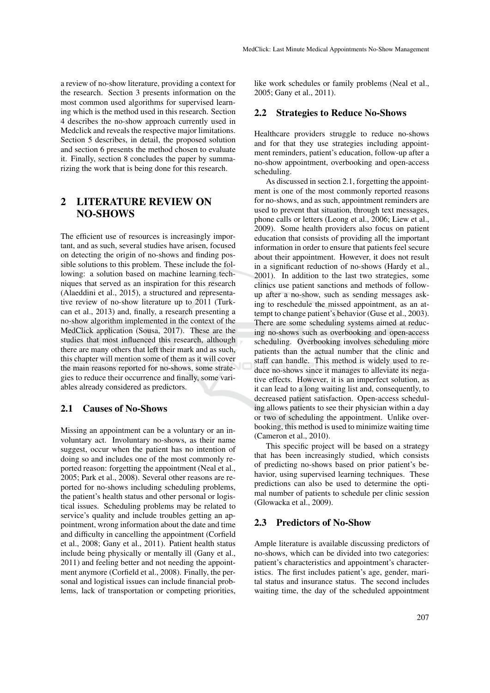a review of no-show literature, providing a context for the research. Section 3 presents information on the most common used algorithms for supervised learning which is the method used in this research. Section 4 describes the no-show approach currently used in Medclick and reveals the respective major limitations. Section 5 describes, in detail, the proposed solution and section 6 presents the method chosen to evaluate it. Finally, section 8 concludes the paper by summarizing the work that is being done for this research.

# 2 LITERATURE REVIEW ON NO-SHOWS

The efficient use of resources is increasingly important, and as such, several studies have arisen, focused on detecting the origin of no-shows and finding possible solutions to this problem. These include the following: a solution based on machine learning techniques that served as an inspiration for this research (Alaeddini et al., 2015), a structured and representative review of no-show literature up to 2011 (Turkcan et al., 2013) and, finally, a research presenting a no-show algorithm implemented in the context of the MedClick application (Sousa, 2017). These are the studies that most influenced this research, although there are many others that left their mark and as such, this chapter will mention some of them as it will cover the main reasons reported for no-shows, some strategies to reduce their occurrence and finally, some variables already considered as predictors.

#### 2.1 Causes of No-Shows

Missing an appointment can be a voluntary or an involuntary act. Involuntary no-shows, as their name suggest, occur when the patient has no intention of doing so and includes one of the most commonly reported reason: forgetting the appointment (Neal et al., 2005; Park et al., 2008). Several other reasons are reported for no-shows including scheduling problems, the patient's health status and other personal or logistical issues. Scheduling problems may be related to service's quality and include troubles getting an appointment, wrong information about the date and time and difficulty in cancelling the appointment (Corfield et al., 2008; Gany et al., 2011). Patient health status include being physically or mentally ill (Gany et al., 2011) and feeling better and not needing the appointment anymore (Corfield et al., 2008). Finally, the personal and logistical issues can include financial problems, lack of transportation or competing priorities, like work schedules or family problems (Neal et al., 2005; Gany et al., 2011).

#### 2.2 Strategies to Reduce No-Shows

Healthcare providers struggle to reduce no-shows and for that they use strategies including appointment reminders, patient's education, follow-up after a no-show appointment, overbooking and open-access scheduling.

As discussed in section 2.1, forgetting the appointment is one of the most commonly reported reasons for no-shows, and as such, appointment reminders are used to prevent that situation, through text messages, phone calls or letters (Leong et al., 2006; Liew et al., 2009). Some health providers also focus on patient education that consists of providing all the important information in order to ensure that patients feel secure about their appointment. However, it does not result in a significant reduction of no-shows (Hardy et al., 2001). In addition to the last two strategies, some clinics use patient sanctions and methods of followup after a no-show, such as sending messages asking to reschedule the missed appointment, as an attempt to change patient's behavior (Guse et al., 2003). There are some scheduling systems aimed at reducing no-shows such as overbooking and open-access scheduling. Overbooking involves scheduling more patients than the actual number that the clinic and staff can handle. This method is widely used to reduce no-shows since it manages to alleviate its negative effects. However, it is an imperfect solution, as it can lead to a long waiting list and, consequently, to decreased patient satisfaction. Open-access scheduling allows patients to see their physician within a day or two of scheduling the appointment. Unlike overbooking, this method is used to minimize waiting time (Cameron et al., 2010).

This specific project will be based on a strategy that has been increasingly studied, which consists of predicting no-shows based on prior patient's behavior, using supervised learning techniques. These predictions can also be used to determine the optimal number of patients to schedule per clinic session (Glowacka et al., 2009).

#### 2.3 Predictors of No-Show

Ample literature is available discussing predictors of no-shows, which can be divided into two categories: patient's characteristics and appointment's characteristics. The first includes patient's age, gender, marital status and insurance status. The second includes waiting time, the day of the scheduled appointment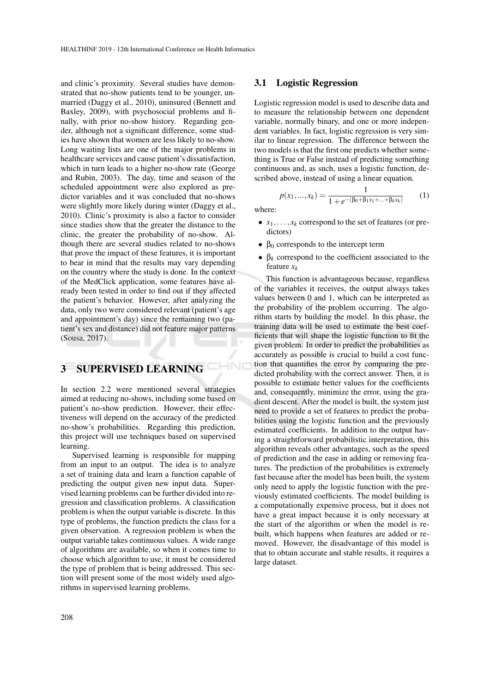and clinic's proximity. Several studies have demonstrated that no-show patients tend to be younger, unmarried (Daggy et al., 2010), uninsured (Bennett and Baxley, 2009), with psychosocial problems and finally, with prior no-show history. Regarding gender, although not a significant difference, some studies have shown that women are less likely to no-show. Long waiting lists are one of the major problems in healthcare services and cause patient's dissatisfaction, which in turn leads to a higher no-show rate (George and Rubin, 2003). The day, time and season of the scheduled appointment were also explored as predictor variables and it was concluded that no-shows were slightly more likely during winter (Daggy et al., 2010). Clinic's proximity is also a factor to consider since studies show that the greater the distance to the clinic, the greater the probability of no-show. Although there are several studies related to no-shows that prove the impact of these features, it is important to bear in mind that the results may vary depending on the country where the study is done. In the context of the MedClick application, some features have already been tested in order to find out if they affected the patient's behavior. However, after analyzing the data, only two were considered relevant (patient's age and appointment's day) since the remaining two (patient's sex and distance) did not feature major patterns (Sousa, 2017).

# 3 SUPERVISED LEARNING

In section 2.2 were mentioned several strategies aimed at reducing no-shows, including some based on patient's no-show prediction. However, their effectiveness will depend on the accuracy of the predicted no-show's probabilities. Regarding this prediction, this project will use techniques based on supervised learning.

Supervised learning is responsible for mapping from an input to an output. The idea is to analyze a set of training data and learn a function capable of predicting the output given new input data. Supervised learning problems can be further divided into regression and classification problems. A classification problem is when the output variable is discrete. In this type of problems, the function predicts the class for a given observation. A regression problem is when the output variable takes continuous values. A wide range of algorithms are available, so when it comes time to choose which algorithm to use, it must be considered the type of problem that is being addressed. This section will present some of the most widely used algorithms in supervised learning problems.

#### 3.1 Logistic Regression

Logistic regression model is used to describe data and to measure the relationship between one dependent variable, normally binary, and one or more independent variables. In fact, logistic regression is very similar to linear regression. The difference between the two models is that the first one predicts whether something is True or False instead of predicting something continuous and, as such, uses a logistic function, described above, instead of using a linear equation.

$$
p(x_1,...,x_k) = \frac{1}{1 + e^{-(\beta_0 + \beta_1 x_1 + ... + \beta_k x_k)}}\tag{1}
$$

where:

CHNO

- $x_1, \ldots, x_k$  correspond to the set of features (or predictors)
- $\beta_0$  corresponds to the intercept term
- $\bullet$   $\beta_k$  correspond to the coefficient associated to the feature *x<sup>k</sup>*

This function is advantageous because, regardless of the variables it receives, the output always takes values between 0 and 1, which can be interpreted as the probability of the problem occurring. The algorithm starts by building the model. In this phase, the training data will be used to estimate the best coefficients that will shape the logistic function to fit the given problem. In order to predict the probabilities as accurately as possible is crucial to build a cost function that quantifies the error by comparing the predicted probability with the correct answer. Then, it is possible to estimate better values for the coefficients and, consequently, minimize the error, using the gradient descent. After the model is built, the system just need to provide a set of features to predict the probabilities using the logistic function and the previously estimated coefficients. In addition to the output having a straightforward probabilistic interpretation, this algorithm reveals other advantages, such as the speed of prediction and the ease in adding or removing features. The prediction of the probabilities is extremely fast because after the model has been built, the system only need to apply the logistic function with the previously estimated coefficients. The model building is a computationally expensive process, but it does not have a great impact because it is only necessary at the start of the algorithm or when the model is rebuilt, which happens when features are added or removed. However, the disadvantage of this model is that to obtain accurate and stable results, it requires a large dataset.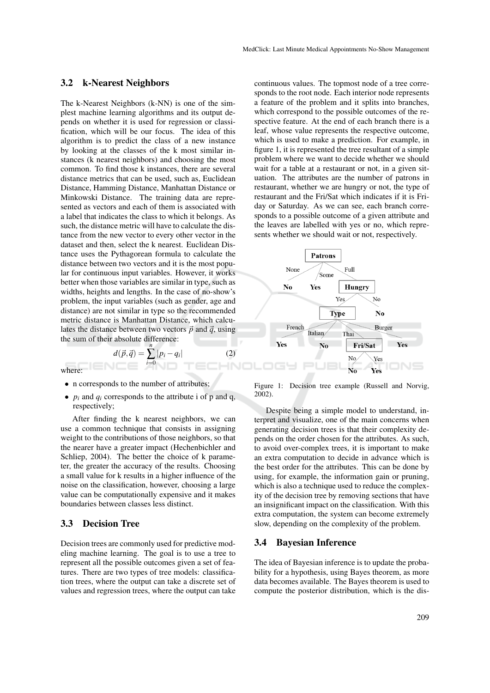#### 3.2 k-Nearest Neighbors

The k-Nearest Neighbors (k-NN) is one of the simplest machine learning algorithms and its output depends on whether it is used for regression or classification, which will be our focus. The idea of this algorithm is to predict the class of a new instance by looking at the classes of the k most similar instances (k nearest neighbors) and choosing the most common. To find those k instances, there are several distance metrics that can be used, such as, Euclidean Distance, Hamming Distance, Manhattan Distance or Minkowski Distance. The training data are represented as vectors and each of them is associated with a label that indicates the class to which it belongs. As such, the distance metric will have to calculate the distance from the new vector to every other vector in the dataset and then, select the k nearest. Euclidean Distance uses the Pythagorean formula to calculate the distance between two vectors and it is the most popular for continuous input variables. However, it works better when those variables are similar in type, such as widths, heights and lengths. In the case of no-show's problem, the input variables (such as gender, age and distance) are not similar in type so the recommended metric distance is Manhattan Distance, which calculates the distance between two vectors  $\vec{p}$  and  $\vec{q}$ , using the sum of their absolute difference: *n*

 $d(\vec{p},\vec{q}) =$ 

where:

- n corresponds to the number of attributes;
- $p_i$  and  $q_i$  corresponds to the attribute i of p and q, respectively;

∑ *i*=0

 $|p_i - q_i|$ 

 $(2)$ 

After finding the k nearest neighbors, we can use a common technique that consists in assigning weight to the contributions of those neighbors, so that the nearer have a greater impact (Hechenbichler and Schliep, 2004). The better the choice of k parameter, the greater the accuracy of the results. Choosing a small value for k results in a higher influence of the noise on the classification, however, choosing a large value can be computationally expensive and it makes boundaries between classes less distinct.

#### 3.3 Decision Tree

Decision trees are commonly used for predictive modeling machine learning. The goal is to use a tree to represent all the possible outcomes given a set of features. There are two types of tree models: classification trees, where the output can take a discrete set of values and regression trees, where the output can take continuous values. The topmost node of a tree corresponds to the root node. Each interior node represents a feature of the problem and it splits into branches, which correspond to the possible outcomes of the respective feature. At the end of each branch there is a leaf, whose value represents the respective outcome, which is used to make a prediction. For example, in figure 1, it is represented the tree resultant of a simple problem where we want to decide whether we should wait for a table at a restaurant or not, in a given situation. The attributes are the number of patrons in restaurant, whether we are hungry or not, the type of restaurant and the Fri/Sat which indicates if it is Friday or Saturday. As we can see, each branch corresponds to a possible outcome of a given attribute and the leaves are labelled with yes or no, which represents whether we should wait or not, respectively.



Figure 1: Decision tree example (Russell and Norvig, 2002).

Despite being a simple model to understand, interpret and visualize, one of the main concerns when generating decision trees is that their complexity depends on the order chosen for the attributes. As such, to avoid over-complex trees, it is important to make an extra computation to decide in advance which is the best order for the attributes. This can be done by using, for example, the information gain or pruning, which is also a technique used to reduce the complexity of the decision tree by removing sections that have an insignificant impact on the classification. With this extra computation, the system can become extremely slow, depending on the complexity of the problem.

#### 3.4 Bayesian Inference

The idea of Bayesian inference is to update the probability for a hypothesis, using Bayes theorem, as more data becomes available. The Bayes theorem is used to compute the posterior distribution, which is the dis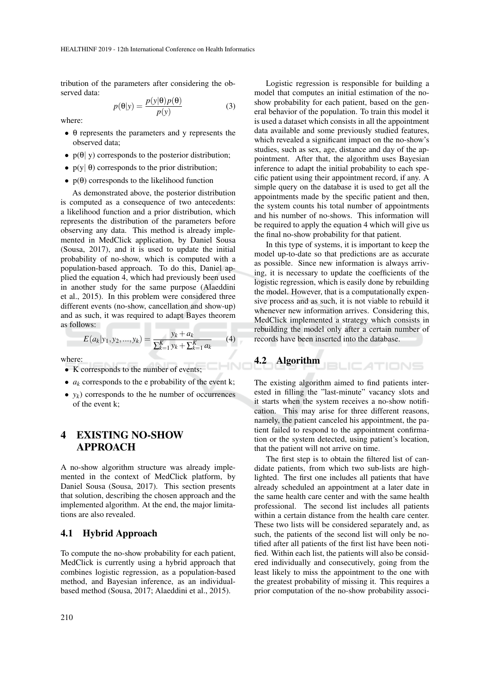tribution of the parameters after considering the observed data:

 $p(\theta|y) = \frac{p(y|\theta)p(\theta)}{p(y)}$ (3)

where:

- $\bullet$   $\theta$  represents the parameters and y represents the observed data;
- $p(\theta | y)$  corresponds to the posterior distribution;
- $p(y | \theta)$  corresponds to the prior distribution;
- $p(\theta)$  corresponds to the likelihood function

As demonstrated above, the posterior distribution is computed as a consequence of two antecedents: a likelihood function and a prior distribution, which represents the distribution of the parameters before observing any data. This method is already implemented in MedClick application, by Daniel Sousa (Sousa, 2017), and it is used to update the initial probability of no-show, which is computed with a population-based approach. To do this, Daniel applied the equation 4, which had previously been used in another study for the same purpose (Alaeddini et al., 2015). In this problem were considered three different events (no-show, cancellation and show-up) and as such, it was required to adapt Bayes theorem as follows:

$$
E(a_k|y_1, y_2, ..., y_k) = \frac{y_k + a_k}{\sum_{k=1}^K y_k + \sum_{k=1}^K a_k} \tag{4}
$$

where:

- K corresponds to the number of events;
- $a_k$  corresponds to the e probability of the event k;
- $y_k$ ) corresponds to the he number of occurrences of the event k;

# 4 EXISTING NO-SHOW APPROACH

A no-show algorithm structure was already implemented in the context of MedClick platform, by Daniel Sousa (Sousa, 2017). This section presents that solution, describing the chosen approach and the implemented algorithm. At the end, the major limitations are also revealed.

### 4.1 Hybrid Approach

To compute the no-show probability for each patient, MedClick is currently using a hybrid approach that combines logistic regression, as a population-based method, and Bayesian inference, as an individualbased method (Sousa, 2017; Alaeddini et al., 2015).

Logistic regression is responsible for building a model that computes an initial estimation of the noshow probability for each patient, based on the general behavior of the population. To train this model it is used a dataset which consists in all the appointment data available and some previously studied features, which revealed a significant impact on the no-show's studies, such as sex, age, distance and day of the appointment. After that, the algorithm uses Bayesian inference to adapt the initial probability to each specific patient using their appointment record, if any. A simple query on the database it is used to get all the appointments made by the specific patient and then, the system counts his total number of appointments and his number of no-shows. This information will be required to apply the equation 4 which will give us the final no-show probability for that patient.

In this type of systems, it is important to keep the model up-to-date so that predictions are as accurate as possible. Since new information is always arriving, it is necessary to update the coefficients of the logistic regression, which is easily done by rebuilding the model. However, that is a computationally expensive process and as such, it is not viable to rebuild it whenever new information arrives. Considering this, MedClick implemented a strategy which consists in rebuilding the model only after a certain number of records have been inserted into the database.

#### 4.2 Algorithm **JBLICATIONS**

The existing algorithm aimed to find patients interested in filling the "last-minute" vacancy slots and it starts when the system receives a no-show notification. This may arise for three different reasons, namely, the patient canceled his appointment, the patient failed to respond to the appointment confirmation or the system detected, using patient's location, that the patient will not arrive on time.

The first step is to obtain the filtered list of candidate patients, from which two sub-lists are highlighted. The first one includes all patients that have already scheduled an appointment at a later date in the same health care center and with the same health professional. The second list includes all patients within a certain distance from the health care center. These two lists will be considered separately and, as such, the patients of the second list will only be notified after all patients of the first list have been notified. Within each list, the patients will also be considered individually and consecutively, going from the least likely to miss the appointment to the one with the greatest probability of missing it. This requires a prior computation of the no-show probability associ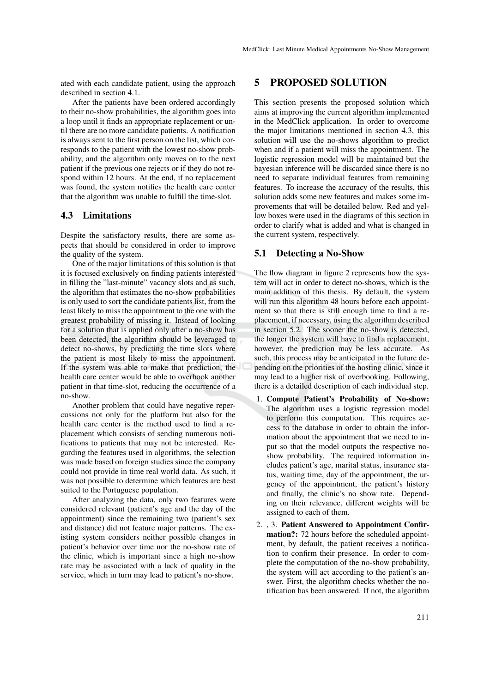ated with each candidate patient, using the approach described in section 4.1.

After the patients have been ordered accordingly to their no-show probabilities, the algorithm goes into a loop until it finds an appropriate replacement or until there are no more candidate patients. A notification is always sent to the first person on the list, which corresponds to the patient with the lowest no-show probability, and the algorithm only moves on to the next patient if the previous one rejects or if they do not respond within 12 hours. At the end, if no replacement was found, the system notifies the health care center that the algorithm was unable to fulfill the time-slot.

### 4.3 Limitations

Despite the satisfactory results, there are some aspects that should be considered in order to improve the quality of the system.

One of the major limitations of this solution is that it is focused exclusively on finding patients interested in filling the "last-minute" vacancy slots and as such, the algorithm that estimates the no-show probabilities is only used to sort the candidate patients list, from the least likely to miss the appointment to the one with the greatest probability of missing it. Instead of looking for a solution that is applied only after a no-show has been detected, the algorithm should be leveraged to detect no-shows, by predicting the time slots where the patient is most likely to miss the appointment. If the system was able to make that prediction, the health care center would be able to overbook another patient in that time-slot, reducing the occurrence of a no-show.

Another problem that could have negative repercussions not only for the platform but also for the health care center is the method used to find a replacement which consists of sending numerous notifications to patients that may not be interested. Regarding the features used in algorithms, the selection was made based on foreign studies since the company could not provide in time real world data. As such, it was not possible to determine which features are best suited to the Portuguese population.

After analyzing the data, only two features were considered relevant (patient's age and the day of the appointment) since the remaining two (patient's sex and distance) did not feature major patterns. The existing system considers neither possible changes in patient's behavior over time nor the no-show rate of the clinic, which is important since a high no-show rate may be associated with a lack of quality in the service, which in turn may lead to patient's no-show.

### 5 PROPOSED SOLUTION

This section presents the proposed solution which aims at improving the current algorithm implemented in the MedClick application. In order to overcome the major limitations mentioned in section 4.3, this solution will use the no-shows algorithm to predict when and if a patient will miss the appointment. The logistic regression model will be maintained but the bayesian inference will be discarded since there is no need to separate individual features from remaining features. To increase the accuracy of the results, this solution adds some new features and makes some improvements that will be detailed below. Red and yellow boxes were used in the diagrams of this section in order to clarify what is added and what is changed in the current system, respectively.

#### 5.1 Detecting a No-Show

The flow diagram in figure 2 represents how the system will act in order to detect no-shows, which is the main addition of this thesis. By default, the system will run this algorithm 48 hours before each appointment so that there is still enough time to find a replacement, if necessary, using the algorithm described in section 5.2. The sooner the no-show is detected, the longer the system will have to find a replacement, however, the prediction may be less accurate. As such, this process may be anticipated in the future depending on the priorities of the hosting clinic, since it may lead to a higher risk of overbooking. Following, there is a detailed description of each individual step.

- 1. Compute Patient's Probability of No-show: The algorithm uses a logistic regression model to perform this computation. This requires access to the database in order to obtain the information about the appointment that we need to input so that the model outputs the respective noshow probability. The required information includes patient's age, marital status, insurance status, waiting time, day of the appointment, the urgency of the appointment, the patient's history and finally, the clinic's no show rate. Depending on their relevance, different weights will be assigned to each of them.
- 2. , 3. Patient Answered to Appointment Confirmation?: 72 hours before the scheduled appointment, by default, the patient receives a notification to confirm their presence. In order to complete the computation of the no-show probability, the system will act according to the patient's answer. First, the algorithm checks whether the notification has been answered. If not, the algorithm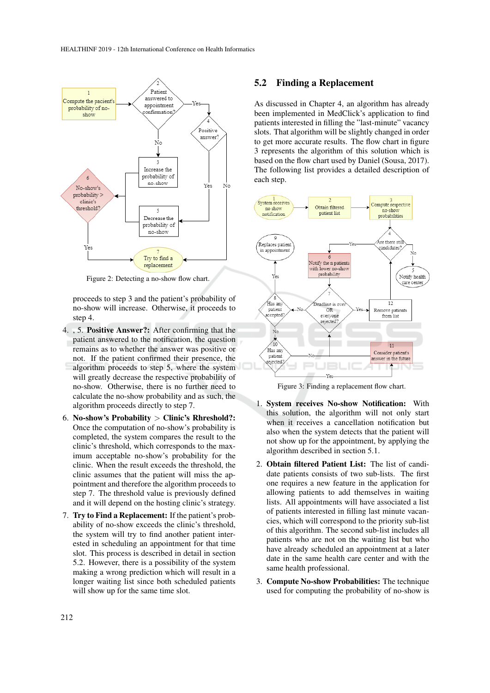

Figure 2: Detecting a no-show flow chart.

proceeds to step 3 and the patient's probability of no-show will increase. Otherwise, it proceeds to step 4.

- 4. , 5. Positive Answer?: After confirming that the patient answered to the notification, the question remains as to whether the answer was positive or not. If the patient confirmed their presence, the algorithm proceeds to step 5, where the system will greatly decrease the respective probability of no-show. Otherwise, there is no further need to calculate the no-show probability and as such, the algorithm proceeds directly to step 7.
- 6. No-show's Probability  $\geq$  Clinic's Rhreshold?: Once the computation of no-show's probability is completed, the system compares the result to the clinic's threshold, which corresponds to the maximum acceptable no-show's probability for the clinic. When the result exceeds the threshold, the clinic assumes that the patient will miss the appointment and therefore the algorithm proceeds to step 7. The threshold value is previously defined and it will depend on the hosting clinic's strategy.
- 7. Try to Find a Replacement: If the patient's probability of no-show exceeds the clinic's threshold, the system will try to find another patient interested in scheduling an appointment for that time slot. This process is described in detail in section 5.2. However, there is a possibility of the system making a wrong prediction which will result in a longer waiting list since both scheduled patients will show up for the same time slot.

#### 5.2 Finding a Replacement

As discussed in Chapter 4, an algorithm has already been implemented in MedClick's application to find patients interested in filling the "last-minute" vacancy slots. That algorithm will be slightly changed in order to get more accurate results. The flow chart in figure 3 represents the algorithm of this solution which is based on the flow chart used by Daniel (Sousa, 2017). The following list provides a detailed description of each step.



Figure 3: Finding a replacement flow chart.

- 1. System receives No-show Notification: With this solution, the algorithm will not only start when it receives a cancellation notification but also when the system detects that the patient will not show up for the appointment, by applying the algorithm described in section 5.1.
- 2. Obtain filtered Patient List: The list of candidate patients consists of two sub-lists. The first one requires a new feature in the application for allowing patients to add themselves in waiting lists. All appointments will have associated a list of patients interested in filling last minute vacancies, which will correspond to the priority sub-list of this algorithm. The second sub-list includes all patients who are not on the waiting list but who have already scheduled an appointment at a later date in the same health care center and with the same health professional.
- 3. Compute No-show Probabilities: The technique used for computing the probability of no-show is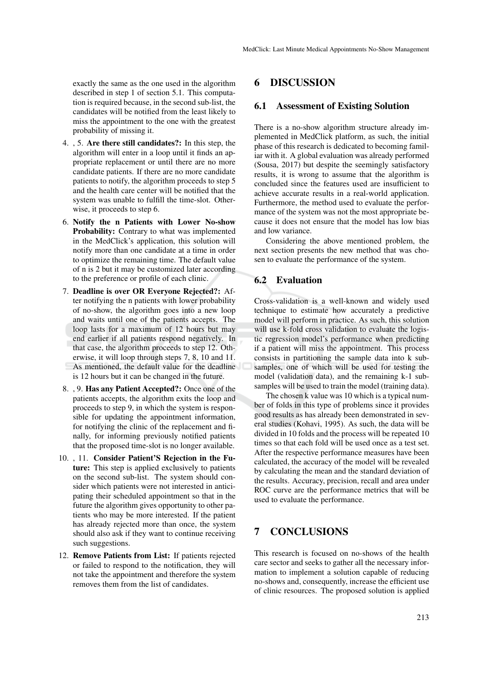exactly the same as the one used in the algorithm described in step 1 of section 5.1. This computation is required because, in the second sub-list, the candidates will be notified from the least likely to miss the appointment to the one with the greatest probability of missing it.

- 4. , 5. Are there still candidates?: In this step, the algorithm will enter in a loop until it finds an appropriate replacement or until there are no more candidate patients. If there are no more candidate patients to notify, the algorithm proceeds to step 5 and the health care center will be notified that the system was unable to fulfill the time-slot. Otherwise, it proceeds to step 6.
- 6. Notify the n Patients with Lower No-show Probability: Contrary to what was implemented in the MedClick's application, this solution will notify more than one candidate at a time in order to optimize the remaining time. The default value of n is 2 but it may be customized later according to the preference or profile of each clinic.
- 7. Deadline is over OR Everyone Rejected?: After notifying the n patients with lower probability of no-show, the algorithm goes into a new loop and waits until one of the patients accepts. The loop lasts for a maximum of 12 hours but may end earlier if all patients respond negatively. In that case, the algorithm proceeds to step 12. Otherwise, it will loop through steps 7, 8, 10 and 11. As mentioned, the default value for the deadline is 12 hours but it can be changed in the future.
- 8. , 9. Has any Patient Accepted?: Once one of the patients accepts, the algorithm exits the loop and proceeds to step 9, in which the system is responsible for updating the appointment information, for notifying the clinic of the replacement and finally, for informing previously notified patients that the proposed time-slot is no longer available.
- 10. , 11. Consider Patient'S Rejection in the Future: This step is applied exclusively to patients on the second sub-list. The system should consider which patients were not interested in anticipating their scheduled appointment so that in the future the algorithm gives opportunity to other patients who may be more interested. If the patient has already rejected more than once, the system should also ask if they want to continue receiving such suggestions.
- 12. Remove Patients from List: If patients rejected or failed to respond to the notification, they will not take the appointment and therefore the system removes them from the list of candidates.

### 6 DISCUSSION

#### 6.1 Assessment of Existing Solution

There is a no-show algorithm structure already implemented in MedClick platform, as such, the initial phase of this research is dedicated to becoming familiar with it. A global evaluation was already performed (Sousa, 2017) but despite the seemingly satisfactory results, it is wrong to assume that the algorithm is concluded since the features used are insufficient to achieve accurate results in a real-world application. Furthermore, the method used to evaluate the performance of the system was not the most appropriate because it does not ensure that the model has low bias and low variance.

Considering the above mentioned problem, the next section presents the new method that was chosen to evaluate the performance of the system.

### 6.2 Evaluation

Cross-validation is a well-known and widely used technique to estimate how accurately a predictive model will perform in practice. As such, this solution will use k-fold cross validation to evaluate the logistic regression model's performance when predicting if a patient will miss the appointment. This process consists in partitioning the sample data into k subsamples, one of which will be used for testing the model (validation data), and the remaining k-1 subsamples will be used to train the model (training data).

The chosen k value was 10 which is a typical number of folds in this type of problems since it provides good results as has already been demonstrated in several studies (Kohavi, 1995). As such, the data will be divided in 10 folds and the process will be repeated 10 times so that each fold will be used once as a test set. After the respective performance measures have been calculated, the accuracy of the model will be revealed by calculating the mean and the standard deviation of the results. Accuracy, precision, recall and area under ROC curve are the performance metrics that will be used to evaluate the performance.

# 7 CONCLUSIONS

This research is focused on no-shows of the health care sector and seeks to gather all the necessary information to implement a solution capable of reducing no-shows and, consequently, increase the efficient use of clinic resources. The proposed solution is applied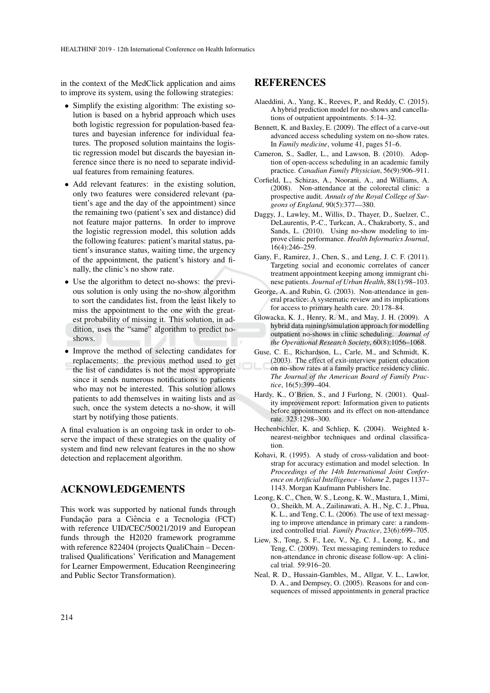in the context of the MedClick application and aims to improve its system, using the following strategies:

- Simplify the existing algorithm: The existing solution is based on a hybrid approach which uses both logistic regression for population-based features and bayesian inference for individual features. The proposed solution maintains the logistic regression model but discards the bayesian inference since there is no need to separate individual features from remaining features.
- Add relevant features: in the existing solution, only two features were considered relevant (patient's age and the day of the appointment) since the remaining two (patient's sex and distance) did not feature major patterns. In order to improve the logistic regression model, this solution adds the following features: patient's marital status, patient's insurance status, waiting time, the urgency of the appointment, the patient's history and finally, the clinic's no show rate.
- Use the algorithm to detect no-shows: the previous solution is only using the no-show algorithm to sort the candidates list, from the least likely to miss the appointment to the one with the greatest probability of missing it. This solution, in addition, uses the "same" algorithm to predict noshows.
- Improve the method of selecting candidates for replacements: the previous method used to get the list of candidates is not the most appropriate since it sends numerous notifications to patients who may not be interested. This solution allows patients to add themselves in waiting lists and as such, once the system detects a no-show, it will start by notifying those patients.

A final evaluation is an ongoing task in order to observe the impact of these strategies on the quality of system and find new relevant features in the no show detection and replacement algorithm.

## ACKNOWLEDGEMENTS

This work was supported by national funds through Fundação para a Ciência e a Tecnologia (FCT) with reference UID/CEC/50021/2019 and European funds through the H2020 framework programme with reference 822404 (projects QualiChain – Decentralised Qualifications' Verification and Management for Learner Empowerment, Education Reengineering and Public Sector Transformation).

### REFERENCES

- Alaeddini, A., Yang, K., Reeves, P., and Reddy, C. (2015). A hybrid prediction model for no-shows and cancellations of outpatient appointments. 5:14–32.
- Bennett, K. and Baxley, E. (2009). The effect of a carve-out advanced access scheduling system on no-show rates. In *Family medicine*, volume 41, pages 51–6.
- Cameron, S., Sadler, L., and Lawson, B. (2010). Adoption of open-access scheduling in an academic family practice. *Canadian Family Physician*, 56(9):906–911.
- Corfield, L., Schizas, A., Noorani, A., and Williams, A. (2008). Non-attendance at the colorectal clinic: a prospective audit. *Annals of the Royal College of Surgeons of England*, 90(5):377—380.
- Daggy, J., Lawley, M., Willis, D., Thayer, D., Suelzer, C., DeLaurentis, P.-C., Turkcan, A., Chakraborty, S., and Sands, L. (2010). Using no-show modeling to improve clinic performance. *Health Informatics Journal*, 16(4):246–259.
- Gany, F., Ramirez, J., Chen, S., and Leng, J. C. F. (2011). Targeting social and economic correlates of cancer treatment appointment keeping among immigrant chinese patients. *Journal of Urban Health*, 88(1):98–103.
- George, A. and Rubin, G. (2003). Non-attendance in general practice: A systematic review and its implications for access to primary health care. 20:178–84.
- Glowacka, K. J., Henry, R. M., and May, J. H. (2009). A hybrid data mining/simulation approach for modelling outpatient no-shows in clinic scheduling. *Journal of the Operational Research Society*, 60(8):1056–1068.
- Guse, C. E., Richardson, L., Carle, M., and Schmidt, K. (2003). The effect of exit-interview patient education on no-show rates at a family practice residency clinic. *The Journal of the American Board of Family Practice*, 16(5):399–404.
- Hardy, K., O'Brien, S., and J Furlong, N. (2001). Quality improvement report: Information given to patients before appointments and its effect on non-attendance rate. 323:1298–300.
- Hechenbichler, K. and Schliep, K. (2004). Weighted knearest-neighbor techniques and ordinal classification.
- Kohavi, R. (1995). A study of cross-validation and bootstrap for accuracy estimation and model selection. In *Proceedings of the 14th International Joint Conference on Artificial Intelligence - Volume 2*, pages 1137– 1143. Morgan Kaufmann Publishers Inc.
- Leong, K. C., Chen, W. S., Leong, K. W., Mastura, I., Mimi, O., Sheikh, M. A., Zailinawati, A. H., Ng, C. J., Phua, K. L., and Teng, C. L. (2006). The use of text messaging to improve attendance in primary care: a randomized controlled trial. *Family Practice*, 23(6):699–705.
- Liew, S., Tong, S. F., Lee, V., Ng, C. J., Leong, K., and Teng, C. (2009). Text messaging reminders to reduce non-attendance in chronic disease follow-up: A clinical trial. 59:916–20.
- Neal, R. D., Hussain-Gambles, M., Allgar, V. L., Lawlor, D. A., and Dempsey, O. (2005). Reasons for and consequences of missed appointments in general practice